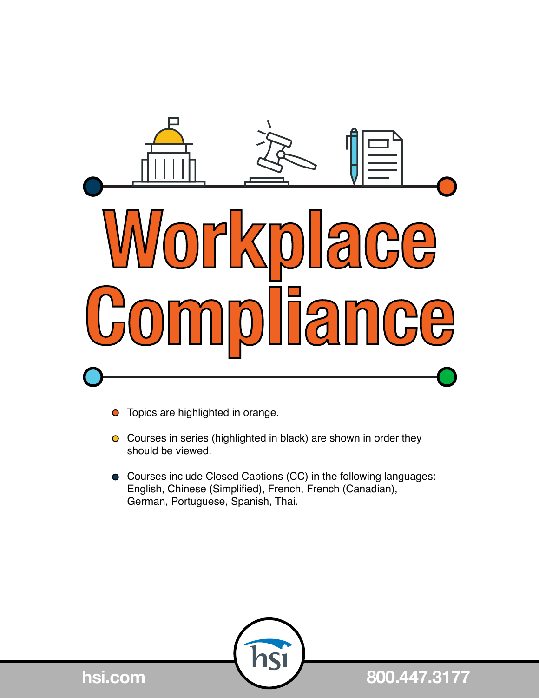

- Topics are highlighted in orange.  $\bullet$
- **O** Courses in series (highlighted in black) are shown in order they should be viewed.
- Courses include Closed Captions (CC) in the following languages: English, Chinese (Simplified), French, French (Canadian), German, Portuguese, Spanish, Thai.



**hsi.com 800.447.3177**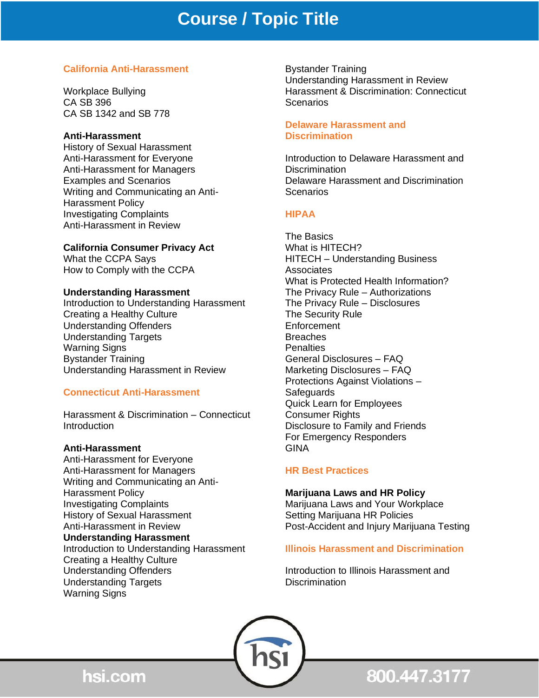# **California Anti-Harassment**

Workplace Bullying CA SB 396 CA SB 1342 and SB 778

## **Anti-Harassment**

History of Sexual Harassment Anti-Harassment for Everyone Anti-Harassment for Managers Examples and Scenarios Writing and Communicating an Anti-Harassment Policy Investigating Complaints Anti-Harassment in Review

# **California Consumer Privacy Act**

What the CCPA Says How to Comply with the CCPA

# **Understanding Harassment**

Introduction to Understanding Harassment Creating a Healthy Culture Understanding Offenders Understanding Targets Warning Signs Bystander Training Understanding Harassment in Review

# **Connecticut Anti-Harassment**

Harassment & Discrimination – Connecticut **Introduction** 

# **Anti-Harassment**

Anti-Harassment for Everyone Anti-Harassment for Managers Writing and Communicating an Anti-Harassment Policy Investigating Complaints History of Sexual Harassment Anti-Harassment in Review **Understanding Harassment** Introduction to Understanding Harassment Creating a Healthy Culture Understanding Offenders Understanding Targets Warning Signs

Bystander Training Understanding Harassment in Review Harassment & Discrimination: Connecticut **Scenarios** 

## **Delaware Harassment and Discrimination**

Introduction to Delaware Harassment and **Discrimination** Delaware Harassment and Discrimination Scenarios

# **HIPAA**

The Basics What is HITECH? HITECH – Understanding Business **Associates** What is Protected Health Information? The Privacy Rule – Authorizations The Privacy Rule – Disclosures The Security Rule **Enforcement Breaches** Penalties General Disclosures – FAQ Marketing Disclosures – FAQ Protections Against Violations – **Safeguards** Quick Learn for Employees Consumer Rights Disclosure to Family and Friends For Emergency Responders GINA

# **HR Best Practices**

**Marijuana Laws and HR Policy** Marijuana Laws and Your Workplace Setting Marijuana HR Policies Post-Accident and Injury Marijuana Testing

# **Illinois Harassment and Discrimination**

Introduction to Illinois Harassment and **Discrimination** 



hsi.com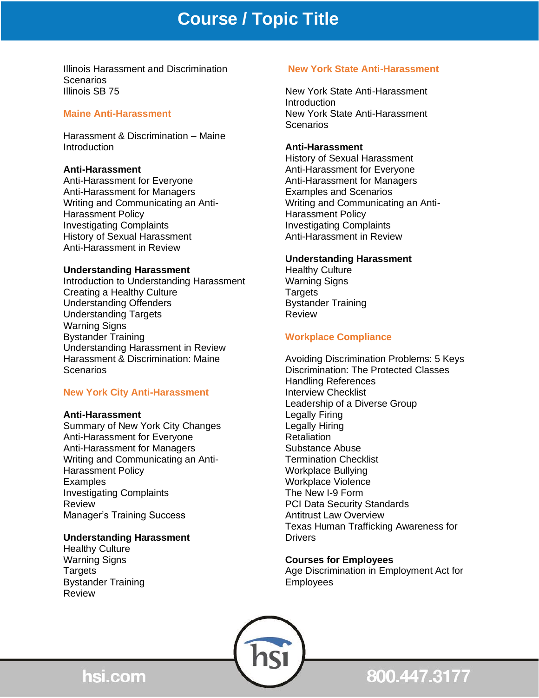# **Course / Topic Title**

Illinois Harassment and Discrimination Scenarios Illinois SB 75

#### **Maine Anti-Harassment**

Harassment & Discrimination – Maine **Introduction** 

#### **Anti-Harassment**

Anti-Harassment for Everyone Anti-Harassment for Managers Writing and Communicating an Anti-Harassment Policy Investigating Complaints History of Sexual Harassment Anti-Harassment in Review

#### **Understanding Harassment**

Introduction to Understanding Harassment Creating a Healthy Culture Understanding Offenders Understanding Targets Warning Signs Bystander Training Understanding Harassment in Review Harassment & Discrimination: Maine Scenarios

#### **New York City Anti-Harassment**

#### **Anti-Harassment**

Summary of New York City Changes Anti-Harassment for Everyone Anti-Harassment for Managers Writing and Communicating an Anti-Harassment Policy **Examples** Investigating Complaints Review Manager's Training Success

## **Understanding Harassment**

Healthy Culture Warning Signs Targets Bystander Training Review

#### **New York State Anti-Harassment**

New York State Anti-Harassment Introduction New York State Anti-Harassment Scenarios

#### **Anti-Harassment**

History of Sexual Harassment Anti-Harassment for Everyone Anti-Harassment for Managers Examples and Scenarios Writing and Communicating an Anti-Harassment Policy Investigating Complaints Anti-Harassment in Review

#### **Understanding Harassment**

Healthy Culture Warning Signs **Targets** Bystander Training Review

## **Workplace Compliance**

Avoiding Discrimination Problems: 5 Keys Discrimination: The Protected Classes Handling References Interview Checklist Leadership of a Diverse Group Legally Firing Legally Hiring **Retaliation** Substance Abuse Termination Checklist Workplace Bullying Workplace Violence The New I-9 Form PCI Data Security Standards Antitrust Law Overview Texas Human Trafficking Awareness for **Drivers** 

#### **Courses for Employees**

Age Discrimination in Employment Act for Employees



800.447.3177

hsi.com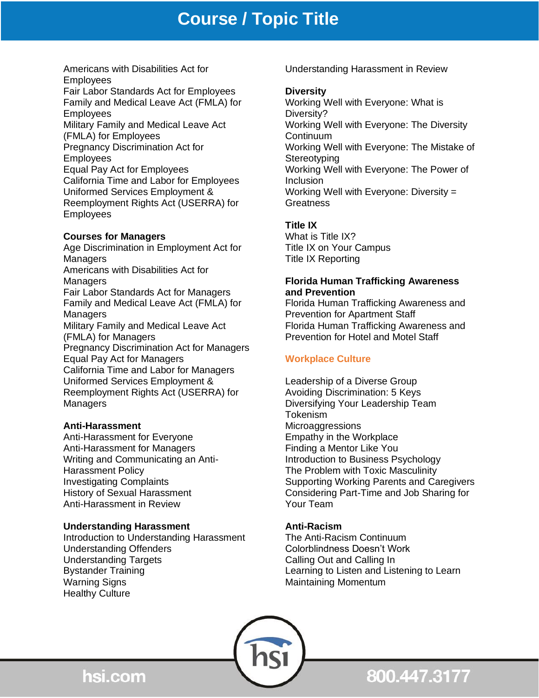# **Course / Topic Title**

Americans with Disabilities Act for **Employees** 

Fair Labor Standards Act for Employees Family and Medical Leave Act (FMLA) for **Employees** 

Military Family and Medical Leave Act (FMLA) for Employees Pregnancy Discrimination Act for Employees

Equal Pay Act for Employees California Time and Labor for Employees Uniformed Services Employment & Reemployment Rights Act (USERRA) for Employees

# **Courses for Managers**

Age Discrimination in Employment Act for Managers Americans with Disabilities Act for Managers Fair Labor Standards Act for Managers Family and Medical Leave Act (FMLA) for Managers Military Family and Medical Leave Act (FMLA) for Managers Pregnancy Discrimination Act for Managers Equal Pay Act for Managers California Time and Labor for Managers Uniformed Services Employment & Reemployment Rights Act (USERRA) for Managers

# **Anti-Harassment**

Anti-Harassment for Everyone Anti-Harassment for Managers Writing and Communicating an Anti-Harassment Policy Investigating Complaints History of Sexual Harassment Anti-Harassment in Review

# **Understanding Harassment**

Introduction to Understanding Harassment Understanding Offenders Understanding Targets Bystander Training Warning Signs Healthy Culture

Understanding Harassment in Review

# **Diversity**

Working Well with Everyone: What is Diversity? Working Well with Everyone: The Diversity **Continuum** Working Well with Everyone: The Mistake of **Stereotyping** Working Well with Everyone: The Power of **Inclusion** Working Well with Everyone: Diversity = Greatness

# **Title IX**

What is Title IX? Title IX on Your Campus Title IX Reporting

# **Florida Human Trafficking Awareness and Prevention**

Florida Human Trafficking Awareness and Prevention for Apartment Staff Florida Human Trafficking Awareness and Prevention for Hotel and Motel Staff

# **Workplace Culture**

Leadership of a Diverse Group Avoiding Discrimination: 5 Keys Diversifying Your Leadership Team Tokenism **Microaggressions** Empathy in the Workplace Finding a Mentor Like You Introduction to Business Psychology The Problem with Toxic Masculinity Supporting Working Parents and Caregivers Considering Part-Time and Job Sharing for Your Team

# **Anti-Racism**

The Anti-Racism Continuum Colorblindness Doesn't Work Calling Out and Calling In Learning to Listen and Listening to Learn Maintaining Momentum



800.447.3177

hsi.com